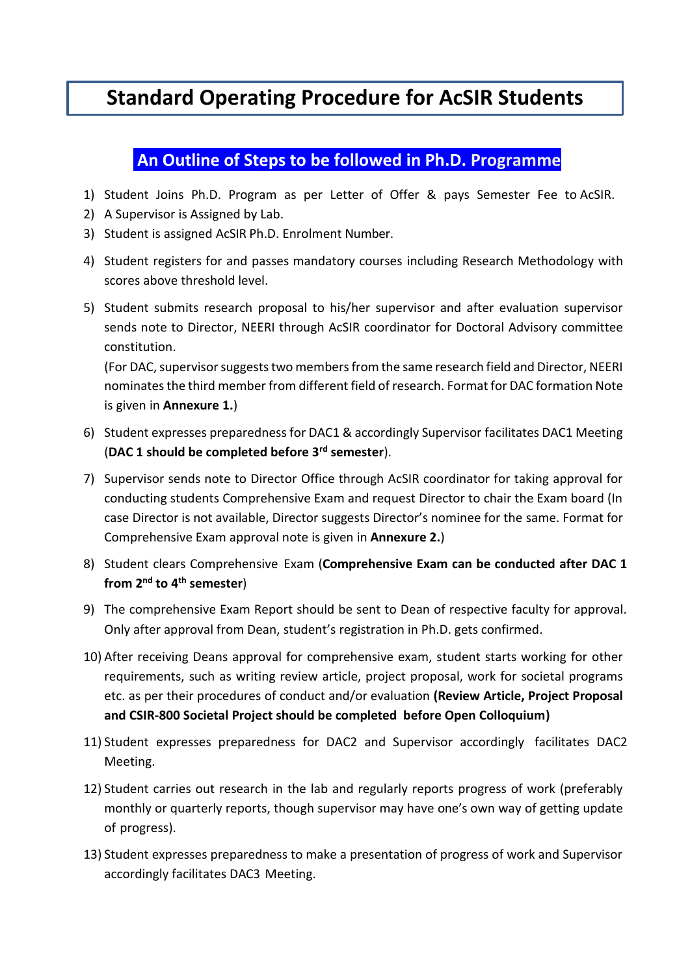# **Standard Operating Procedure for AcSIR Students**

## **An Outline of Steps to be followed in Ph.D. Programme**

- 1) Student Joins Ph.D. Program as per Letter of Offer & pays Semester Fee to AcSIR.
- 2) A Supervisor is Assigned by Lab.
- 3) Student is assigned AcSIR Ph.D. Enrolment Number.
- 4) Student registers for and passes mandatory courses including Research Methodology with scores above threshold level.
- 5) Student submits research proposal to his/her supervisor and after evaluation supervisor sends note to Director, NEERI through AcSIR coordinator for Doctoral Advisory committee constitution.

(For DAC, supervisor suggests two members from the same research field and Director, NEERI nominates the third member from different field of research. Format for DAC formation Note is given in **Annexure 1.**)

- 6) Student expresses preparedness for DAC1 & accordingly Supervisor facilitates DAC1 Meeting (**DAC 1 should be completed before 3rd semester**).
- 7) Supervisor sends note to Director Office through AcSIR coordinator for taking approval for conducting students Comprehensive Exam and request Director to chair the Exam board (In case Director is not available, Director suggests Director's nominee for the same. Format for Comprehensive Exam approval note is given in **Annexure 2.**)
- 8) Student clears Comprehensive Exam (**Comprehensive Exam can be conducted after DAC 1 from 2nd to 4th semester**)
- 9) The comprehensive Exam Report should be sent to Dean of respective faculty for approval. Only after approval from Dean, student's registration in Ph.D. gets confirmed.
- 10) After receiving Deans approval for comprehensive exam, student starts working for other requirements, such as writing review article, project proposal, work for societal programs etc. as per their procedures of conduct and/or evaluation **(Review Article, Project Proposal and CSIR-800 Societal Project should be completed before Open Colloquium)**
- 11) Student expresses preparedness for DAC2 and Supervisor accordingly facilitates DAC2 Meeting.
- 12) Student carries out research in the lab and regularly reports progress of work (preferably monthly or quarterly reports, though supervisor may have one's own way of getting update of progress).
- 13) Student expresses preparedness to make a presentation of progress of work and Supervisor accordingly facilitates DAC3 Meeting.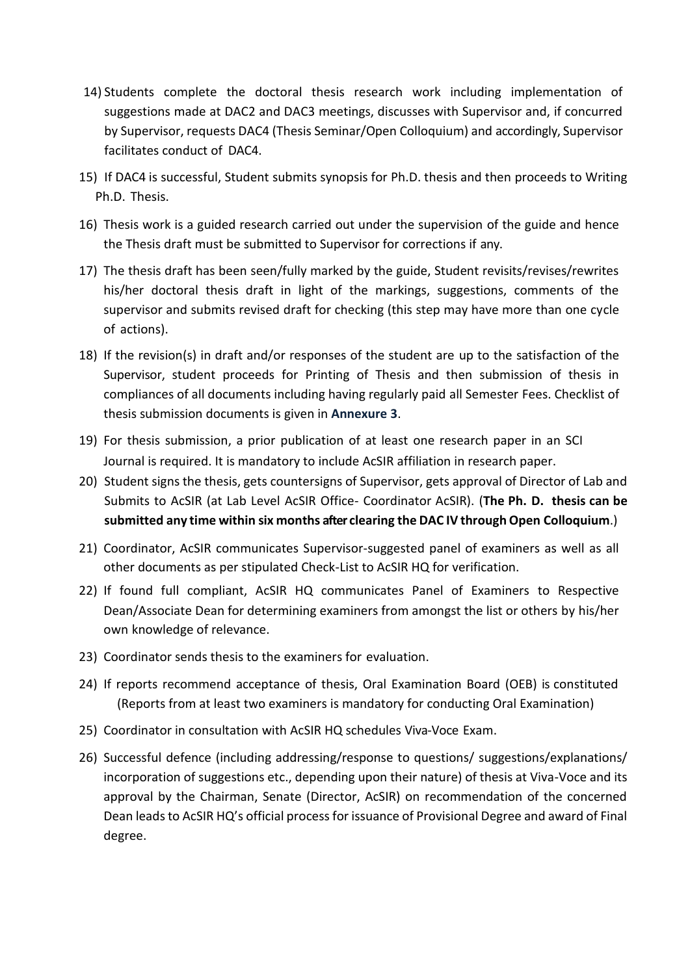- 14) Students complete the doctoral thesis research work including implementation of suggestions made at DAC2 and DAC3 meetings, discusses with Supervisor and, if concurred by Supervisor, requests DAC4 (Thesis Seminar/Open Colloquium) and accordingly, Supervisor facilitates conduct of DAC4.
- 15) If DAC4 is successful, Student submits synopsis for Ph.D. thesis and then proceeds to Writing Ph.D. Thesis.
- 16) Thesis work is a guided research carried out under the supervision of the guide and hence the Thesis draft must be submitted to Supervisor for corrections if any.
- 17) The thesis draft has been seen/fully marked by the guide, Student revisits/revises/rewrites his/her doctoral thesis draft in light of the markings, suggestions, comments of the supervisor and submits revised draft for checking (this step may have more than one cycle of actions).
- 18) If the revision(s) in draft and/or responses of the student are up to the satisfaction of the Supervisor, student proceeds for Printing of Thesis and then submission of thesis in compliances of all documents including having regularly paid all Semester Fees. Checklist of thesis submission documents is given in **Annexure 3**.
- 19) For thesis submission, a prior publication of at least one research paper in an SCI Journal is required. It is mandatory to include AcSIR affiliation in research paper.
- 20) Student signs the thesis, gets countersigns of Supervisor, gets approval of Director of Lab and Submits to AcSIR (at Lab Level AcSIR Office- Coordinator AcSIR). (**The Ph. D. thesis can be submitted any time within six months after clearing the DAC IV through Open Colloquium**.)
- 21) Coordinator, AcSIR communicates Supervisor-suggested panel of examiners as well as all other documents as per stipulated Check-List to AcSIR HQ for verification.
- 22) If found full compliant, AcSIR HQ communicates Panel of Examiners to Respective Dean/Associate Dean for determining examiners from amongst the list or others by his/her own knowledge of relevance.
- 23) Coordinator sends thesis to the examiners for evaluation.
- 24) If reports recommend acceptance of thesis, Oral Examination Board (OEB) is constituted (Reports from at least two examiners is mandatory for conducting Oral Examination)
- 25) Coordinator in consultation with AcSIR HQ schedules Viva-Voce Exam.
- 26) Successful defence (including addressing/response to questions/ suggestions/explanations/ incorporation of suggestions etc., depending upon their nature) of thesis at Viva-Voce and its approval by the Chairman, Senate (Director, AcSIR) on recommendation of the concerned Dean leads to AcSIR HQ's official process for issuance of Provisional Degree and award of Final degree.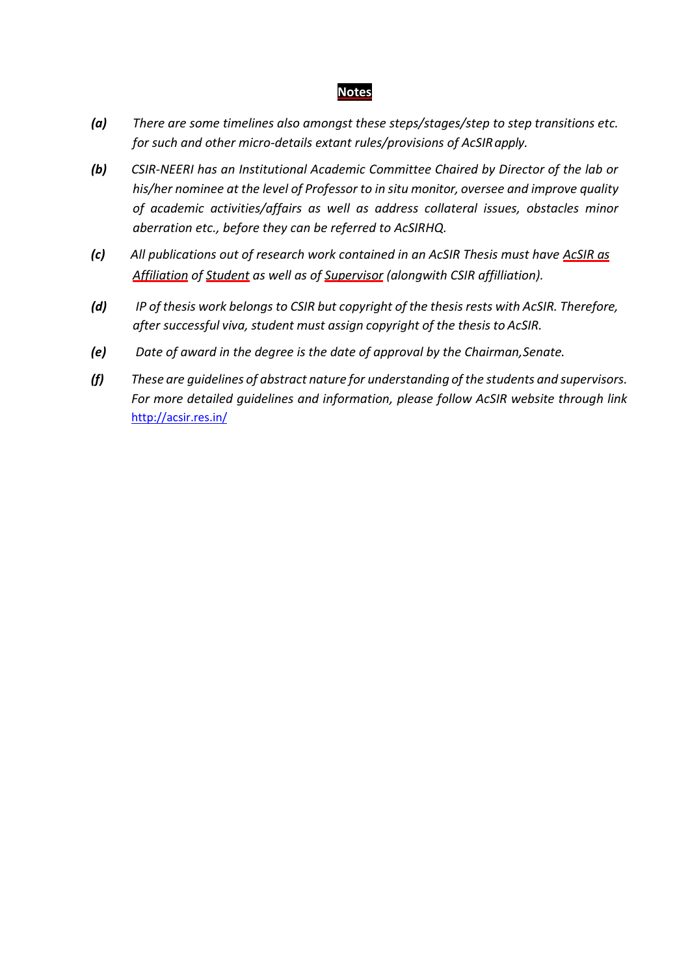#### **Notes**

- *(a) There are some timelines also amongst these steps/stages/step to step transitions etc. for such and other micro-details extant rules/provisions of AcSIR apply.*
- *(b) CSIR-NEERI has an Institutional Academic Committee Chaired by Director of the lab or his/her nominee at the level of Professor to in situ monitor, oversee and improve quality of academic activities/affairs as well as address collateral issues, obstacles minor aberration etc., before they can be referred to AcSIRHQ.*
- *(c) All publications out of research work contained in an AcSIR Thesis must have AcSIR as Affiliation of Student as well as of Supervisor (alongwith CSIR affilliation).*
- *(d) IP of thesis work belongs to CSIR but copyright of the thesis rests with AcSIR. Therefore, after successful viva, student must assign copyright of the thesis to AcSIR.*
- *(e) Date of award in the degree is the date of approval by the Chairman,Senate.*
- *(f) These are guidelines of abstract nature for understanding of the students and supervisors. For more detailed guidelines and information, please follow AcSIR website through link*  <http://acsir.res.in/>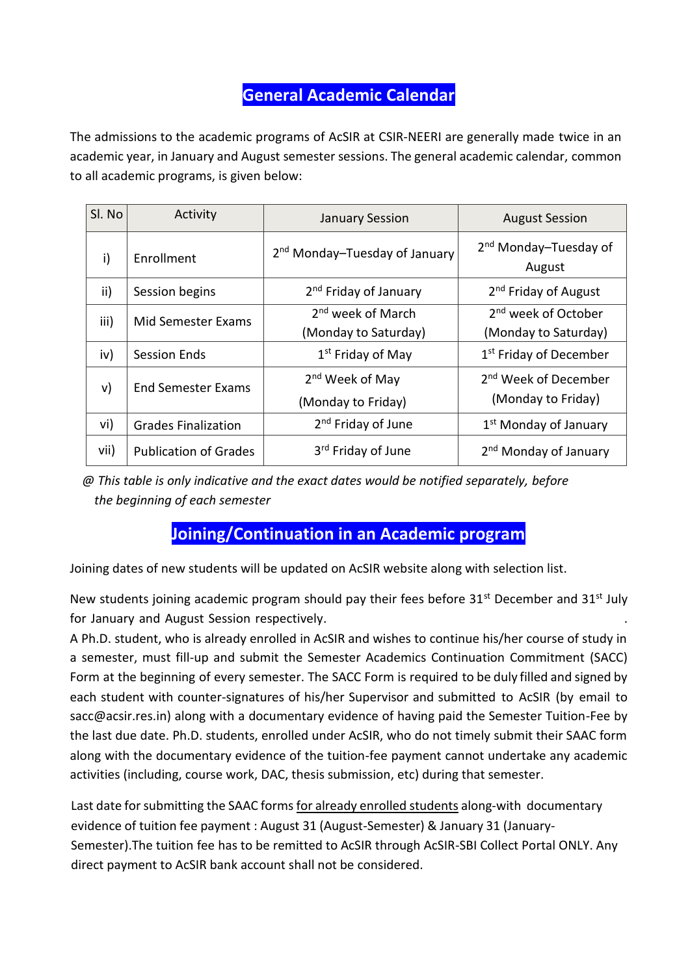## **General Academic Calendar**

The admissions to the academic programs of AcSIR at CSIR-NEERI are generally made twice in an academic year, in January and August semester sessions. The general academic calendar, common to all academic programs, is given below:

| Sl. No | Activity                     | <b>January Session</b>                                | <b>August Session</b>                                   |  |
|--------|------------------------------|-------------------------------------------------------|---------------------------------------------------------|--|
| i)     | <b>Fnrollment</b>            | 2 <sup>nd</sup> Monday-Tuesday of January             | 2 <sup>nd</sup> Monday-Tuesday of<br>August             |  |
| ii)    | Session begins               | 2 <sup>nd</sup> Friday of January                     | 2 <sup>nd</sup> Friday of August                        |  |
| iii)   | Mid Semester Exams           | 2 <sup>nd</sup> week of March<br>(Monday to Saturday) | 2 <sup>nd</sup> week of October<br>(Monday to Saturday) |  |
| iv)    | <b>Session Ends</b>          | 1 <sup>st</sup> Friday of May                         | 1 <sup>st</sup> Friday of December                      |  |
| v)     | <b>End Semester Exams</b>    | 2 <sup>nd</sup> Week of May<br>(Monday to Friday)     | 2 <sup>nd</sup> Week of December<br>(Monday to Friday)  |  |
| vi)    | <b>Grades Finalization</b>   | 2 <sup>nd</sup> Friday of June                        | 1 <sup>st</sup> Monday of January                       |  |
| vii)   | <b>Publication of Grades</b> | 3 <sup>rd</sup> Friday of June                        | 2 <sup>nd</sup> Monday of January                       |  |

*@ This table is only indicative and the exact dates would be notified separately, before the beginning of each semester*

## **Joining/Continuation in an Academic program**

Joining dates of new students will be updated on AcSIR website along with selection list.

New students joining academic program should pay their fees before  $31^{st}$  December and  $31^{st}$  July for January and August Session respectively.

A Ph.D. student, who is already enrolled in AcSIR and wishes to continue his/her course of study in a semester, must fill-up and submit the Semester Academics Continuation Commitment (SACC) Form at the beginning of every semester. The SACC Form is required to be duly filled and signed by each student with counter-signatures of his/her Supervisor and submitted to AcSIR (by email to sacc@acsir.res.in) along with a documentary evidence of having paid the Semester Tuition-Fee by the last due date. Ph.D. students, enrolled under AcSIR, who do not timely submit their SAAC form along with the documentary evidence of the tuition-fee payment cannot undertake any academic activities (including, course work, DAC, thesis submission, etc) during that semester.

Last date for submitting the SAAC forms for already enrolled students along-with documentary evidence of tuition fee payment : August 31 (August-Semester) & January 31 (January-Semester).The tuition fee has to be remitted to AcSIR through AcSIR-SBI Collect Portal ONLY. Any direct payment to AcSIR bank account shall not be considered.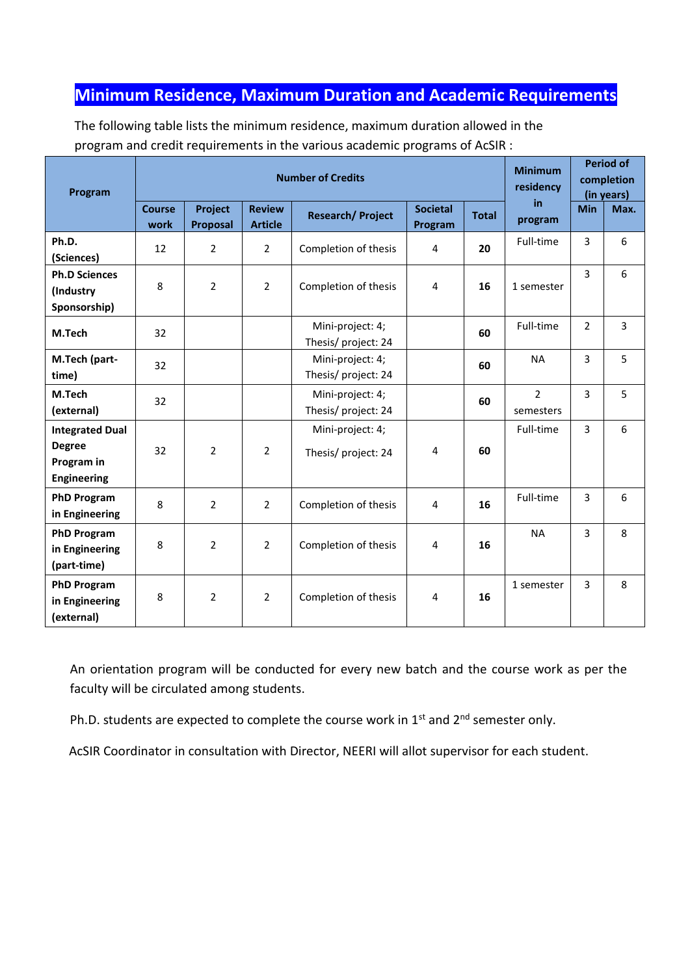## **Minimum Residence, Maximum Duration and Academic Requirements**

The following table lists the minimum residence, maximum duration allowed in the program and credit requirements in the various academic programs of AcSIR :

| Program                                                                     | <b>Number of Credits</b> |                            |                                 |                                        |                            |              | <b>Minimum</b><br>residency | <b>Period of</b><br>completion<br>(in years) |                |
|-----------------------------------------------------------------------------|--------------------------|----------------------------|---------------------------------|----------------------------------------|----------------------------|--------------|-----------------------------|----------------------------------------------|----------------|
|                                                                             | <b>Course</b><br>work    | <b>Project</b><br>Proposal | <b>Review</b><br><b>Article</b> | <b>Research/Project</b>                | <b>Societal</b><br>Program | <b>Total</b> | in.<br>program              | <b>Min</b>                                   | Max.           |
| Ph.D.<br>(Sciences)                                                         | 12                       | $\overline{2}$             | $\overline{2}$                  | Completion of thesis                   | $\overline{4}$             | 20           | Full-time                   | $\overline{3}$                               | 6              |
| <b>Ph.D Sciences</b><br>(Industry<br>Sponsorship)                           | 8                        | $\overline{2}$             | $\overline{2}$                  | Completion of thesis                   | 4                          | 16           | 1 semester                  | $\overline{3}$                               | 6              |
| M.Tech                                                                      | 32                       |                            |                                 | Mini-project: 4;<br>Thesis/project: 24 |                            | 60           | Full-time                   | $\overline{2}$                               | $\overline{3}$ |
| M.Tech (part-<br>time)                                                      | 32                       |                            |                                 | Mini-project: 4;<br>Thesis/project: 24 |                            | 60           | <b>NA</b>                   | $\overline{3}$                               | 5              |
| M.Tech<br>(external)                                                        | 32                       |                            |                                 | Mini-project: 4;<br>Thesis/project: 24 |                            | 60           | $\overline{2}$<br>semesters | 3                                            | 5              |
| <b>Integrated Dual</b><br><b>Degree</b><br>Program in<br><b>Engineering</b> | 32                       | $\overline{2}$             | $\overline{2}$                  | Mini-project: 4;<br>Thesis/project: 24 | 4                          | 60           | Full-time                   | 3                                            | 6              |
| <b>PhD Program</b><br>in Engineering                                        | 8                        | $\overline{2}$             | $\overline{2}$                  | Completion of thesis                   | $\overline{4}$             | 16           | Full-time                   | 3                                            | 6              |
| <b>PhD Program</b><br>in Engineering<br>(part-time)                         | 8                        | $\overline{2}$             | $\overline{2}$                  | Completion of thesis                   | 4                          | 16           | <b>NA</b>                   | $\overline{3}$                               | 8              |
| <b>PhD Program</b><br>in Engineering<br>(external)                          | 8                        | $\overline{2}$             | $\overline{2}$                  | Completion of thesis                   | 4                          | 16           | 1 semester                  | 3                                            | 8              |

An orientation program will be conducted for every new batch and the course work as per the faculty will be circulated among students.

Ph.D. students are expected to complete the course work in  $1<sup>st</sup>$  and  $2<sup>nd</sup>$  semester only.

AcSIR Coordinator in consultation with Director, NEERI will allot supervisor for each student.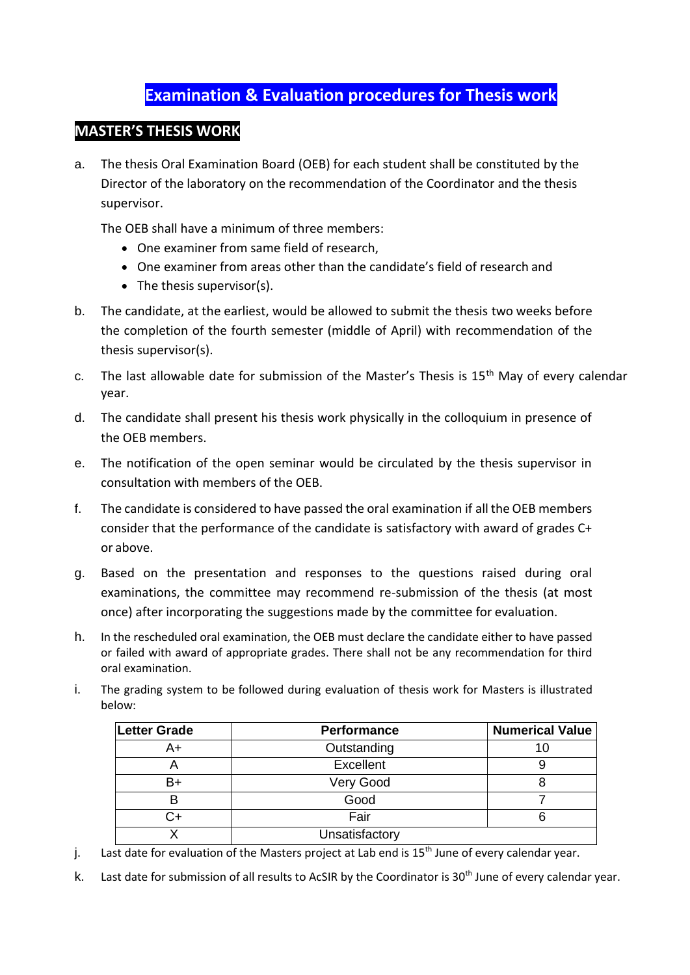## **Examination & Evaluation procedures for Thesis work**

## **MASTER'S THESIS WORK**

a. The thesis Oral Examination Board (OEB) for each student shall be constituted by the Director of the laboratory on the recommendation of the Coordinator and the thesis supervisor.

The OEB shall have a minimum of three members:

- One examiner from same field of research,
- One examiner from areas other than the candidate's field of research and
- The thesis supervisor(s).
- b. The candidate, at the earliest, would be allowed to submit the thesis two weeks before the completion of the fourth semester (middle of April) with recommendation of the thesis supervisor(s).
- c. The last allowable date for submission of the Master's Thesis is  $15<sup>th</sup>$  May of every calendar year.
- d. The candidate shall present his thesis work physically in the colloquium in presence of the OEB members.
- e. The notification of the open seminar would be circulated by the thesis supervisor in consultation with members of the OEB.
- f. The candidate is considered to have passed the oral examination if all the OEB members consider that the performance of the candidate is satisfactory with award of grades C+ or above.
- g. Based on the presentation and responses to the questions raised during oral examinations, the committee may recommend re-submission of the thesis (at most once) after incorporating the suggestions made by the committee for evaluation.
- h. In the rescheduled oral examination, the OEB must declare the candidate either to have passed or failed with award of appropriate grades. There shall not be any recommendation for third oral examination.
- i. The grading system to be followed during evaluation of thesis work for Masters is illustrated below:

| <b>Letter Grade</b> | Performance    | <b>Numerical Value</b> |
|---------------------|----------------|------------------------|
| A+                  | Outstanding    | 1υ                     |
|                     | Excellent      |                        |
| B+                  | Very Good      |                        |
|                     | Good           |                        |
|                     | Fair           |                        |
|                     | Unsatisfactory |                        |

- j. Last date for evaluation of the Masters project at Lab end is  $15<sup>th</sup>$  June of every calendar year.
- k. Last date for submission of all results to AcSIR by the Coordinator is 30<sup>th</sup> June of every calendar year.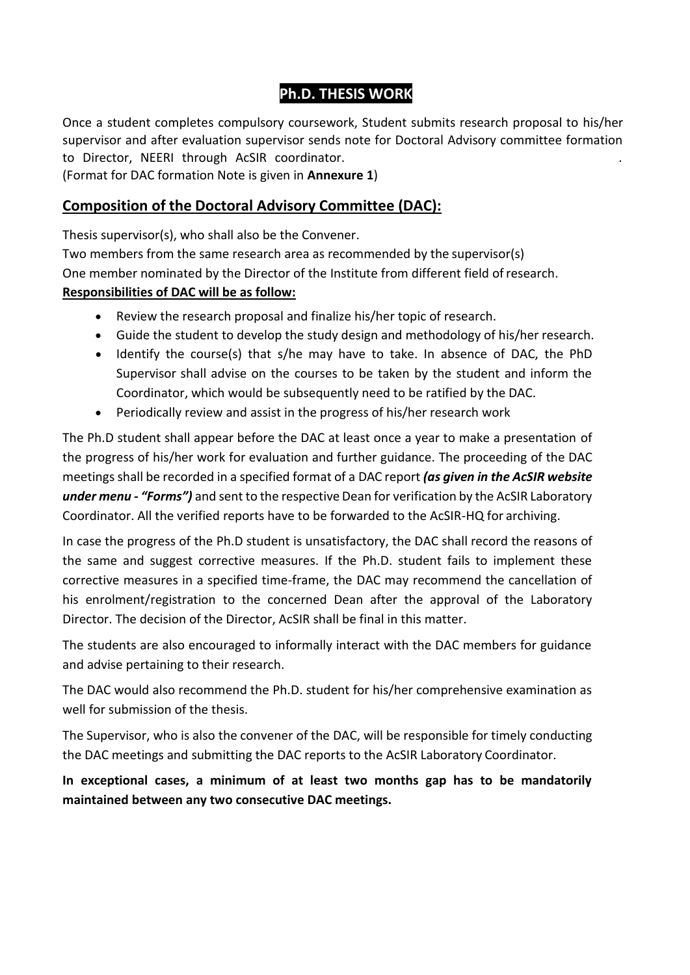## **Ph.D. THESIS WORK**

Once a student completes compulsory coursework, Student submits research proposal to his/her supervisor and after evaluation supervisor sends note for Doctoral Advisory committee formation to Director, NEERI through AcSIR coordinator.

(Format for DAC formation Note is given in **Annexure 1**)

## **Composition of the Doctoral Advisory Committee (DAC):**

Thesis supervisor(s), who shall also be the Convener.

Two members from the same research area as recommended by the supervisor(s) One member nominated by the Director of the Institute from different field ofresearch.

#### **Responsibilities of DAC will be as follow:**

- Review the research proposal and finalize his/her topic of research.
- Guide the student to develop the study design and methodology of his/her research.
- Identify the course(s) that s/he may have to take. In absence of DAC, the PhD Supervisor shall advise on the courses to be taken by the student and inform the Coordinator, which would be subsequently need to be ratified by the DAC.
- Periodically review and assist in the progress of his/her research work

The Ph.D student shall appear before the DAC at least once a year to make a presentation of the progress of his/her work for evaluation and further guidance. The proceeding of the DAC meetings shall be recorded in a specified format of a DAC report *(as given in the AcSIR website under menu - "Forms")* and sent to the respective Dean for verification by the AcSIR Laboratory Coordinator. All the verified reports have to be forwarded to the AcSIR-HQ for archiving.

In case the progress of the Ph.D student is unsatisfactory, the DAC shall record the reasons of the same and suggest corrective measures. If the Ph.D. student fails to implement these corrective measures in a specified time-frame, the DAC may recommend the cancellation of his enrolment/registration to the concerned Dean after the approval of the Laboratory Director. The decision of the Director, AcSIR shall be final in this matter.

The students are also encouraged to informally interact with the DAC members for guidance and advise pertaining to their research.

The DAC would also recommend the Ph.D. student for his/her comprehensive examination as well for submission of the thesis.

The Supervisor, who is also the convener of the DAC, will be responsible for timely conducting the DAC meetings and submitting the DAC reports to the AcSIR Laboratory Coordinator.

**In exceptional cases, a minimum of at least two months gap has to be mandatorily maintained between any two consecutive DAC meetings.**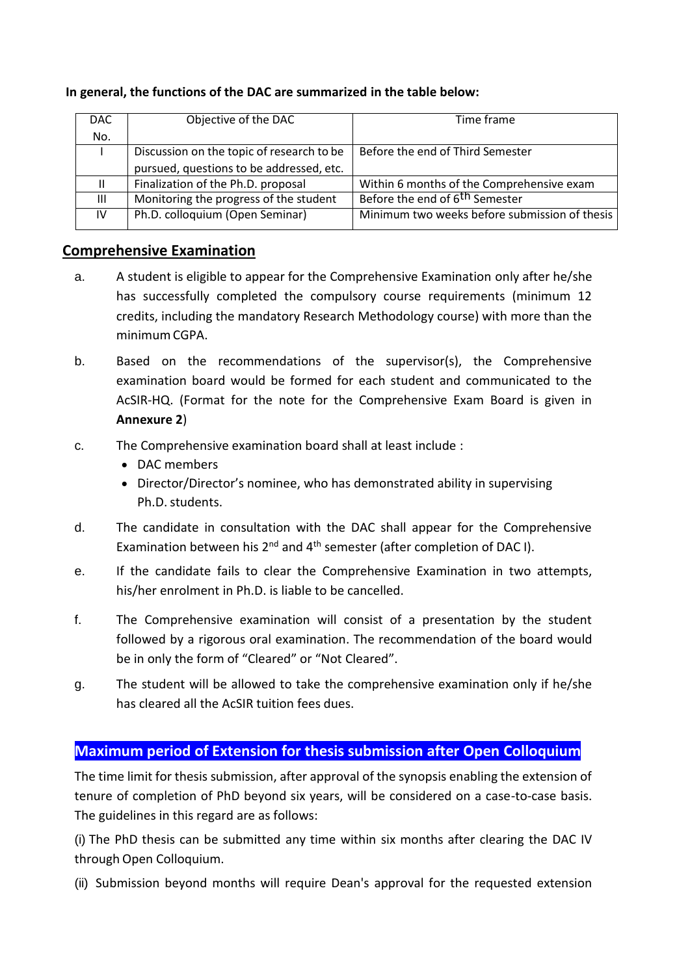#### **In general, the functions of the DAC are summarized in the table below:**

| DAC.           | Objective of the DAC                      | Time frame                                    |
|----------------|-------------------------------------------|-----------------------------------------------|
|                |                                           |                                               |
| No.            |                                           |                                               |
|                | Discussion on the topic of research to be | Before the end of Third Semester              |
|                | pursued, questions to be addressed, etc.  |                                               |
| Ш.             | Finalization of the Ph.D. proposal        | Within 6 months of the Comprehensive exam     |
| $\mathbf{III}$ | Monitoring the progress of the student    | Before the end of 6 <sup>th</sup> Semester    |
| IV             | Ph.D. colloquium (Open Seminar)           | Minimum two weeks before submission of thesis |
|                |                                           |                                               |

### **Comprehensive Examination**

- a. A student is eligible to appear for the Comprehensive Examination only after he/she has successfully completed the compulsory course requirements (minimum 12 credits, including the mandatory Research Methodology course) with more than the minimumCGPA.
- b. Based on the recommendations of the supervisor(s), the Comprehensive examination board would be formed for each student and communicated to the AcSIR-HQ. (Format for the note for the Comprehensive Exam Board is given in **Annexure 2**)
- c. The Comprehensive examination board shall at least include :
	- DAC members
	- Director/Director's nominee, who has demonstrated ability in supervising Ph.D. students.
- d. The candidate in consultation with the DAC shall appear for the Comprehensive Examination between his  $2^{nd}$  and  $4^{th}$  semester (after completion of DAC I).
- e. If the candidate fails to clear the Comprehensive Examination in two attempts, his/her enrolment in Ph.D. is liable to be cancelled.
- f. The Comprehensive examination will consist of a presentation by the student followed by a rigorous oral examination. The recommendation of the board would be in only the form of "Cleared" or "Not Cleared".
- g. The student will be allowed to take the comprehensive examination only if he/she has cleared all the AcSIR tuition fees dues.

### **Maximum period of Extension for thesis submission after Open Colloquium**

The time limit for thesis submission, after approval of the synopsis enabling the extension of tenure of completion of PhD beyond six years, will be considered on a case-to-case basis. The guidelines in this regard are as follows:

(i) The PhD thesis can be submitted any time within six months after clearing the DAC IV through Open Colloquium.

(ii) Submission beyond months will require Dean's approval for the requested extension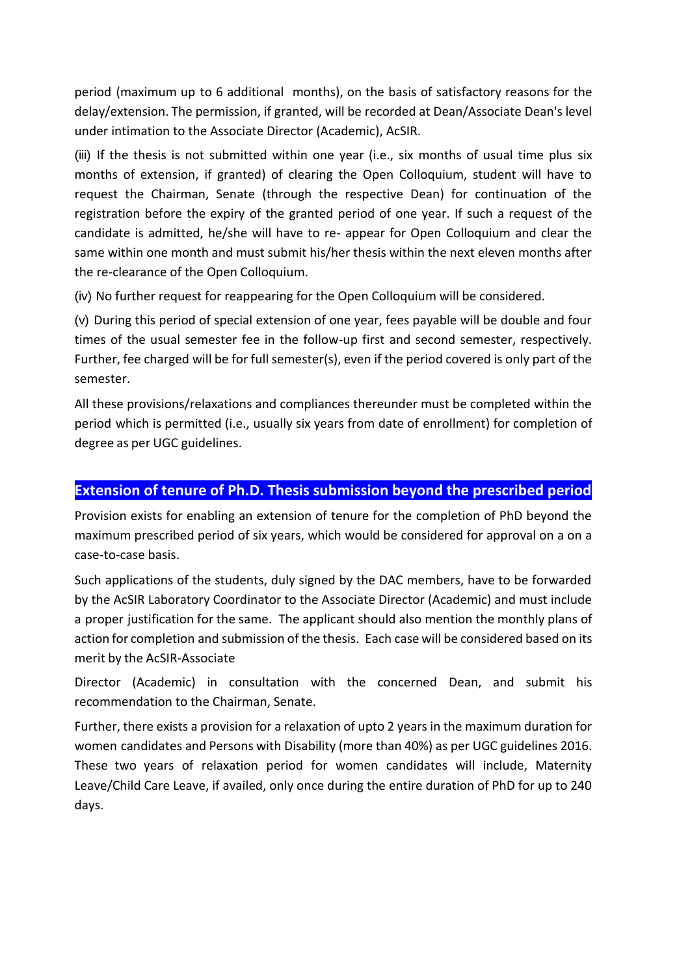period (maximum up to 6 additional months), on the basis of satisfactory reasons for the delay/extension. The permission, if granted, will be recorded at Dean/Associate Dean's level under intimation to the Associate Director (Academic), AcSIR.

(iii) If the thesis is not submitted within one year (i.e., six months of usual time plus six months of extension, if granted) of clearing the Open Colloquium, student will have to request the Chairman, Senate (through the respective Dean) for continuation of the registration before the expiry of the granted period of one year. If such a request of the candidate is admitted, he/she will have to re- appear for Open Colloquium and clear the same within one month and must submit his/her thesis within the next eleven months after the re-clearance of the Open Colloquium.

(iv) No further request for reappearing for the Open Colloquium will be considered.

(v) During this period of special extension of one year, fees payable will be double and four times of the usual semester fee in the follow-up first and second semester, respectively. Further, fee charged will be for full semester(s), even if the period covered is only part of the semester.

All these provisions/relaxations and compliances thereunder must be completed within the period which is permitted (i.e., usually six years from date of enrollment) for completion of degree as per UGC guidelines.

## **Extension of tenure of Ph.D. Thesis submission beyond the prescribed period**

Provision exists for enabling an extension of tenure for the completion of PhD beyond the maximum prescribed period of six years, which would be considered for approval on a on a case-to-case basis.

Such applications of the students, duly signed by the DAC members, have to be forwarded by the AcSIR Laboratory Coordinator to the Associate Director (Academic) and must include a proper justification for the same. The applicant should also mention the monthly plans of action for completion and submission of the thesis. Each case will be considered based on its merit by the AcSIR-Associate

Director (Academic) in consultation with the concerned Dean, and submit his recommendation to the Chairman, Senate.

Further, there exists a provision for a relaxation of upto 2 years in the maximum duration for women candidates and Persons with Disability (more than 40%) as per UGC guidelines 2016. These two years of relaxation period for women candidates will include, Maternity Leave/Child Care Leave, if availed, only once during the entire duration of PhD for up to 240 days.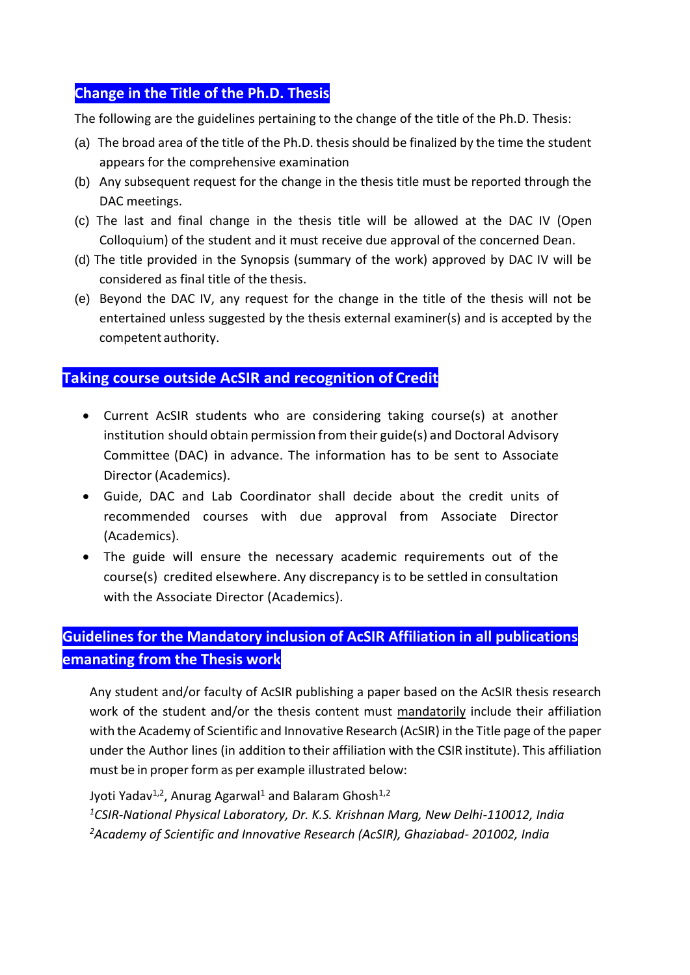## **Change in the Title of the Ph.D. Thesis**

The following are the guidelines pertaining to the change of the title of the Ph.D. Thesis:

- (a) The broad area of the title of the Ph.D. thesis should be finalized by the time the student appears for the comprehensive examination
- (b) Any subsequent request for the change in the thesis title must be reported through the DAC meetings.
- (c) The last and final change in the thesis title will be allowed at the DAC IV (Open Colloquium) of the student and it must receive due approval of the concerned Dean.
- (d) The title provided in the Synopsis (summary of the work) approved by DAC IV will be considered as final title of the thesis.
- (e) Beyond the DAC IV, any request for the change in the title of the thesis will not be entertained unless suggested by the thesis external examiner(s) and is accepted by the competent authority.

## **Taking course outside AcSIR and recognition of Credit**

- Current AcSIR students who are considering taking course(s) at another institution should obtain permission from their guide(s) and Doctoral Advisory Committee (DAC) in advance. The information has to be sent to Associate Director (Academics).
- Guide, DAC and Lab Coordinator shall decide about the credit units of recommended courses with due approval from Associate Director (Academics).
- The guide will ensure the necessary academic requirements out of the course(s) credited elsewhere. Any discrepancy is to be settled in consultation with the Associate Director (Academics).

## **Guidelines for the Mandatory inclusion of AcSIR Affiliation in all publications emanating from the Thesis work**

Any student and/or faculty of AcSIR publishing a paper based on the AcSIR thesis research work of the student and/or the thesis content must mandatorily include their affiliation with the Academy of Scientific and Innovative Research (AcSIR) in the Title page of the paper under the Author lines (in addition to their affiliation with the CSIR institute). This affiliation must be in proper form as per example illustrated below:

Jyoti Yadav<sup>1,2</sup>, Anurag Agarwal<sup>1</sup> and Balaram Ghosh<sup>1,2</sup> *<sup>1</sup>CSIR-National Physical Laboratory, Dr. K.S. Krishnan Marg, New Delhi-110012, India <sup>2</sup>Academy of Scientific and Innovative Research (AcSIR), Ghaziabad- 201002, India*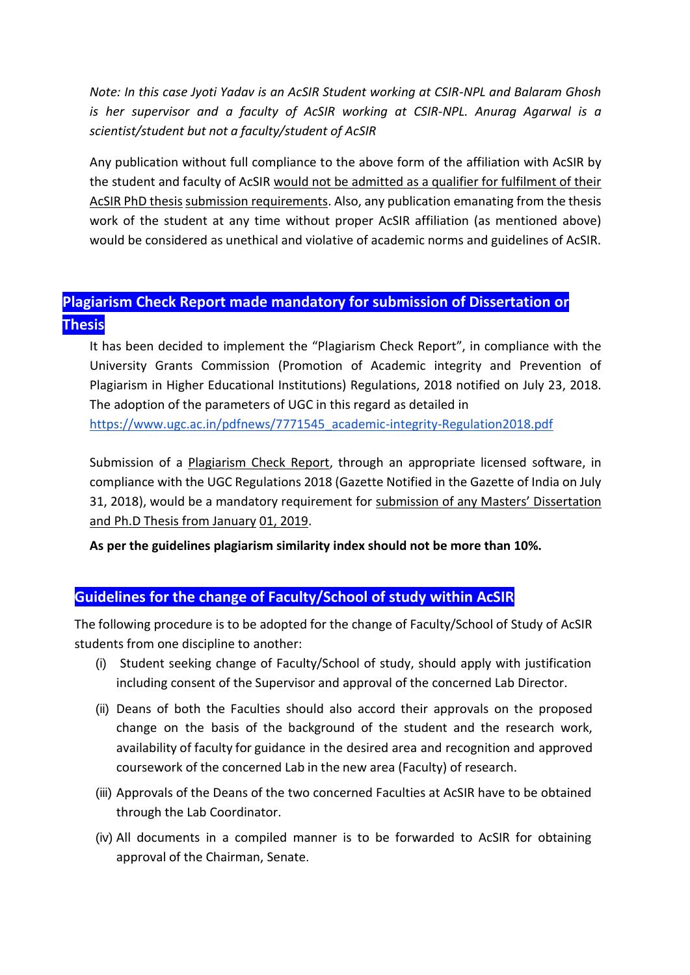*Note: In this case Jyoti Yadav is an AcSIR Student working at CSIR-NPL and Balaram Ghosh is her supervisor and a faculty of AcSIR working at CSIR-NPL. Anurag Agarwal is a scientist/student but not a faculty/student of AcSIR*

Any publication without full compliance to the above form of the affiliation with AcSIR by the student and faculty of AcSIR would not be admitted as a qualifier for fulfilment of their AcSIR PhD thesis submission requirements. Also, any publication emanating from the thesis work of the student at any time without proper AcSIR affiliation (as mentioned above) would be considered as unethical and violative of academic norms and guidelines of AcSIR.

## **Plagiarism Check Report made mandatory for submission of Dissertation or Thesis**

It has been decided to implement the "Plagiarism Check Report", in compliance with the University Grants Commission (Promotion of Academic integrity and Prevention of Plagiarism in Higher Educational Institutions) Regulations, 2018 notified on July 23, 2018. The adoption of the parameters of UGC in this regard as detailed in

[https://www.ugc.ac.in/pdfnews/7771545\\_academic-integrity-Regulation2018.pdf](https://www.ugc.ac.in/pdfnews/7771545_academic-integrity-Regulation2018.pdf)

Submission of a Plagiarism Check Report, through an appropriate licensed software, in compliance with the UGC Regulations 2018 (Gazette Notified in the Gazette of India on July 31, 2018), would be a mandatory requirement for submission of any Masters' Dissertation and Ph.D Thesis from January 01, 2019.

**As per the guidelines plagiarism similarity index should not be more than 10%.**

### **Guidelines for the change of Faculty/School of study within AcSIR**

The following procedure is to be adopted for the change of Faculty/School of Study of AcSIR students from one discipline to another:

- (i) Student seeking change of Faculty/School of study, should apply with justification including consent of the Supervisor and approval of the concerned Lab Director.
- (ii) Deans of both the Faculties should also accord their approvals on the proposed change on the basis of the background of the student and the research work, availability of faculty for guidance in the desired area and recognition and approved coursework of the concerned Lab in the new area (Faculty) of research.
- (iii) Approvals of the Deans of the two concerned Faculties at AcSIR have to be obtained through the Lab Coordinator.
- (iv) All documents in a compiled manner is to be forwarded to AcSIR for obtaining approval of the Chairman, Senate.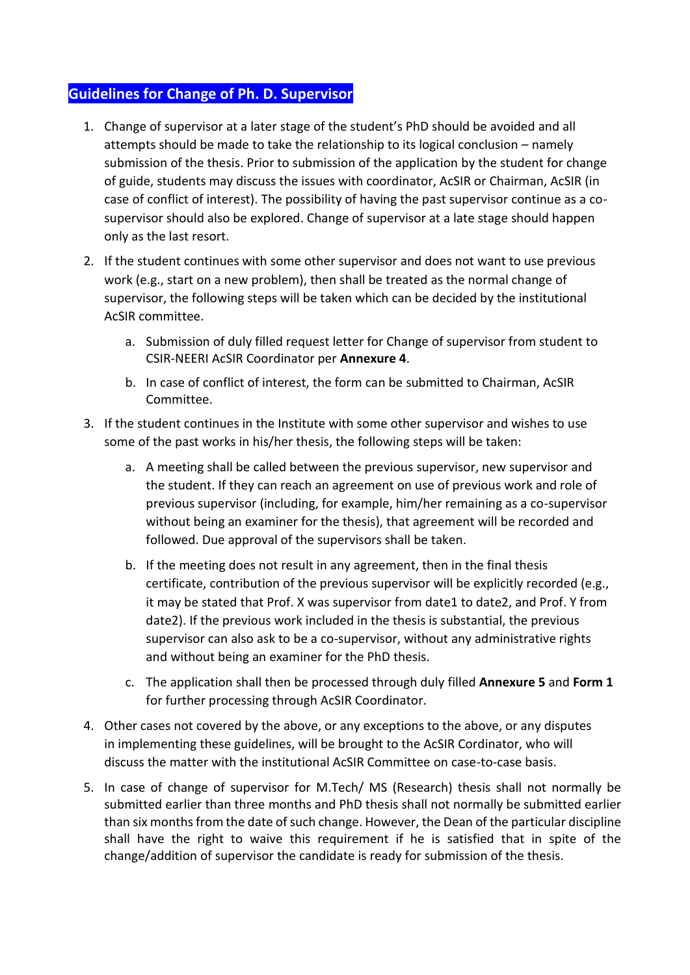## **Guidelines for Change of Ph. D. Supervisor**

- 1. Change of supervisor at a later stage of the student's PhD should be avoided and all attempts should be made to take the relationship to its logical conclusion – namely submission of the thesis. Prior to submission of the application by the student for change of guide, students may discuss the issues with coordinator, AcSIR or Chairman, AcSIR (in case of conflict of interest). The possibility of having the past supervisor continue as a cosupervisor should also be explored. Change of supervisor at a late stage should happen only as the last resort.
- 2. If the student continues with some other supervisor and does not want to use previous work (e.g., start on a new problem), then shall be treated as the normal change of supervisor, the following steps will be taken which can be decided by the institutional AcSIR committee.
	- a. Submission of duly filled request letter for Change of supervisor from student to CSIR-NEERI AcSIR Coordinator per **Annexure 4**.
	- b. In case of conflict of interest, the form can be submitted to Chairman, AcSIR Committee.
- 3. If the student continues in the Institute with some other supervisor and wishes to use some of the past works in his/her thesis, the following steps will be taken:
	- a. A meeting shall be called between the previous supervisor, new supervisor and the student. If they can reach an agreement on use of previous work and role of previous supervisor (including, for example, him/her remaining as a co-supervisor without being an examiner for the thesis), that agreement will be recorded and followed. Due approval of the supervisors shall be taken.
	- b. If the meeting does not result in any agreement, then in the final thesis certificate, contribution of the previous supervisor will be explicitly recorded (e.g., it may be stated that Prof. X was supervisor from date1 to date2, and Prof. Y from date2). If the previous work included in the thesis is substantial, the previous supervisor can also ask to be a co-supervisor, without any administrative rights and without being an examiner for the PhD thesis.
	- c. The application shall then be processed through duly filled **Annexure 5** and **Form 1** for further processing through AcSIR Coordinator.
- 4. Other cases not covered by the above, or any exceptions to the above, or any disputes in implementing these guidelines, will be brought to the AcSIR Cordinator, who will discuss the matter with the institutional AcSIR Committee on case-to-case basis.
- 5. In case of change of supervisor for M.Tech/ MS (Research) thesis shall not normally be submitted earlier than three months and PhD thesis shall not normally be submitted earlier than six months from the date of such change. However, the Dean of the particular discipline shall have the right to waive this requirement if he is satisfied that in spite of the change/addition of supervisor the candidate is ready for submission of the thesis.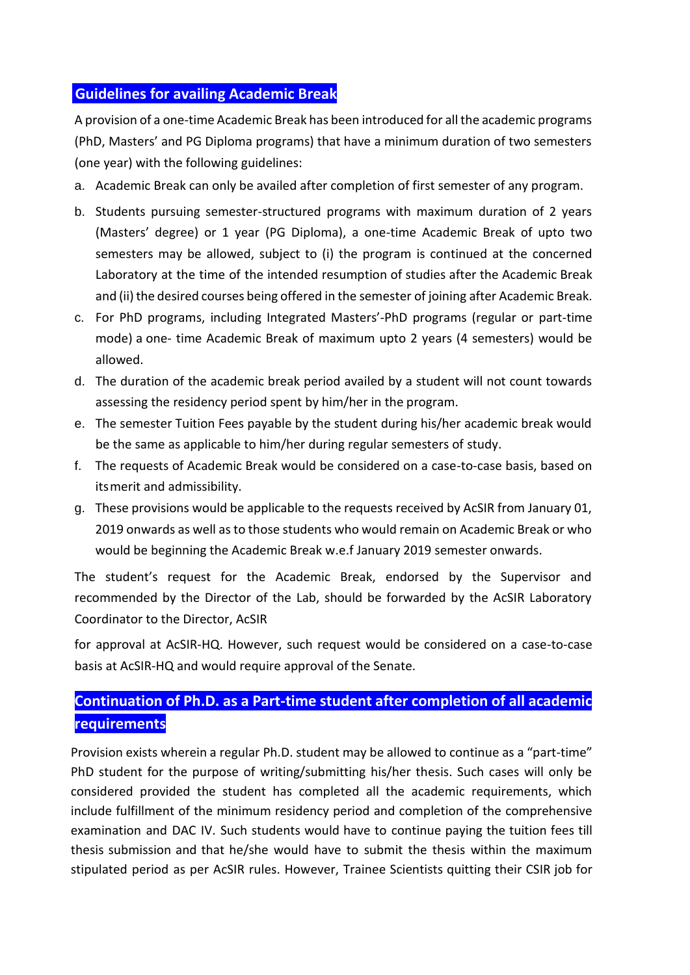### **Guidelines for availing Academic Break**

A provision of a one-time Academic Break has been introduced for all the academic programs (PhD, Masters' and PG Diploma programs) that have a minimum duration of two semesters (one year) with the following guidelines:

- a. Academic Break can only be availed after completion of first semester of any program.
- b. Students pursuing semester-structured programs with maximum duration of 2 years (Masters' degree) or 1 year (PG Diploma), a one-time Academic Break of upto two semesters may be allowed, subject to (i) the program is continued at the concerned Laboratory at the time of the intended resumption of studies after the Academic Break and (ii) the desired courses being offered in the semester of joining after Academic Break.
- c. For PhD programs, including Integrated Masters'-PhD programs (regular or part-time mode) a one- time Academic Break of maximum upto 2 years (4 semesters) would be allowed.
- d. The duration of the academic break period availed by a student will not count towards assessing the residency period spent by him/her in the program.
- e. The semester Tuition Fees payable by the student during his/her academic break would be the same as applicable to him/her during regular semesters of study.
- f. The requests of Academic Break would be considered on a case-to-case basis, based on itsmerit and admissibility.
- g. These provisions would be applicable to the requests received by AcSIR from January 01, 2019 onwards as well as to those students who would remain on Academic Break or who would be beginning the Academic Break w.e.f January 2019 semester onwards.

The student's request for the Academic Break, endorsed by the Supervisor and recommended by the Director of the Lab, should be forwarded by the AcSIR Laboratory Coordinator to the Director, AcSIR

for approval at AcSIR-HQ. However, such request would be considered on a case-to-case basis at AcSIR-HQ and would require approval of the Senate.

## **Continuation of Ph.D. as a Part-time student after completion of all academic requirements**

Provision exists wherein a regular Ph.D. student may be allowed to continue as a "part-time" PhD student for the purpose of writing/submitting his/her thesis. Such cases will only be considered provided the student has completed all the academic requirements, which include fulfillment of the minimum residency period and completion of the comprehensive examination and DAC IV. Such students would have to continue paying the tuition fees till thesis submission and that he/she would have to submit the thesis within the maximum stipulated period as per AcSIR rules. However, Trainee Scientists quitting their CSIR job for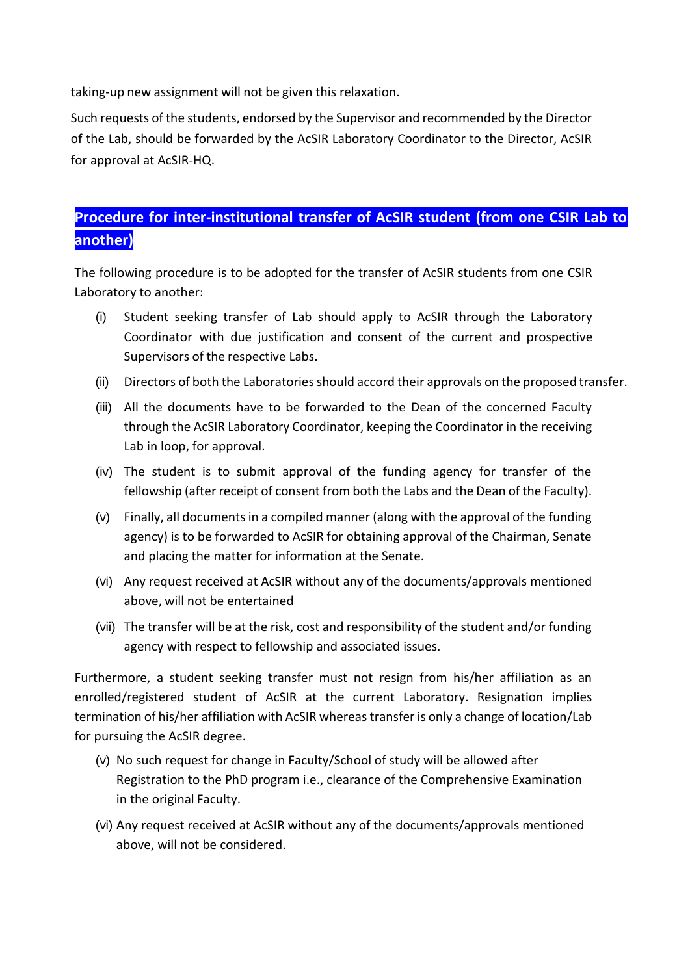taking-up new assignment will not be given this relaxation.

Such requests of the students, endorsed by the Supervisor and recommended by the Director of the Lab, should be forwarded by the AcSIR Laboratory Coordinator to the Director, AcSIR for approval at AcSIR-HQ.

## **Procedure for inter-institutional transfer of AcSIR student (from one CSIR Lab to another)**

The following procedure is to be adopted for the transfer of AcSIR students from one CSIR Laboratory to another:

- (i) Student seeking transfer of Lab should apply to AcSIR through the Laboratory Coordinator with due justification and consent of the current and prospective Supervisors of the respective Labs.
- (ii) Directors of both the Laboratories should accord their approvals on the proposed transfer.
- (iii) All the documents have to be forwarded to the Dean of the concerned Faculty through the AcSIR Laboratory Coordinator, keeping the Coordinator in the receiving Lab in loop, for approval.
- (iv) The student is to submit approval of the funding agency for transfer of the fellowship (after receipt of consent from both the Labs and the Dean of the Faculty).
- (v) Finally, all documents in a compiled manner (along with the approval of the funding agency) is to be forwarded to AcSIR for obtaining approval of the Chairman, Senate and placing the matter for information at the Senate.
- (vi) Any request received at AcSIR without any of the documents/approvals mentioned above, will not be entertained
- (vii) The transfer will be at the risk, cost and responsibility of the student and/or funding agency with respect to fellowship and associated issues.

Furthermore, a student seeking transfer must not resign from his/her affiliation as an enrolled/registered student of AcSIR at the current Laboratory. Resignation implies termination of his/her affiliation with AcSIR whereas transfer is only a change of location/Lab for pursuing the AcSIR degree.

- (v) No such request for change in Faculty/School of study will be allowed after Registration to the PhD program i.e., clearance of the Comprehensive Examination in the original Faculty.
- (vi) Any request received at AcSIR without any of the documents/approvals mentioned above, will not be considered.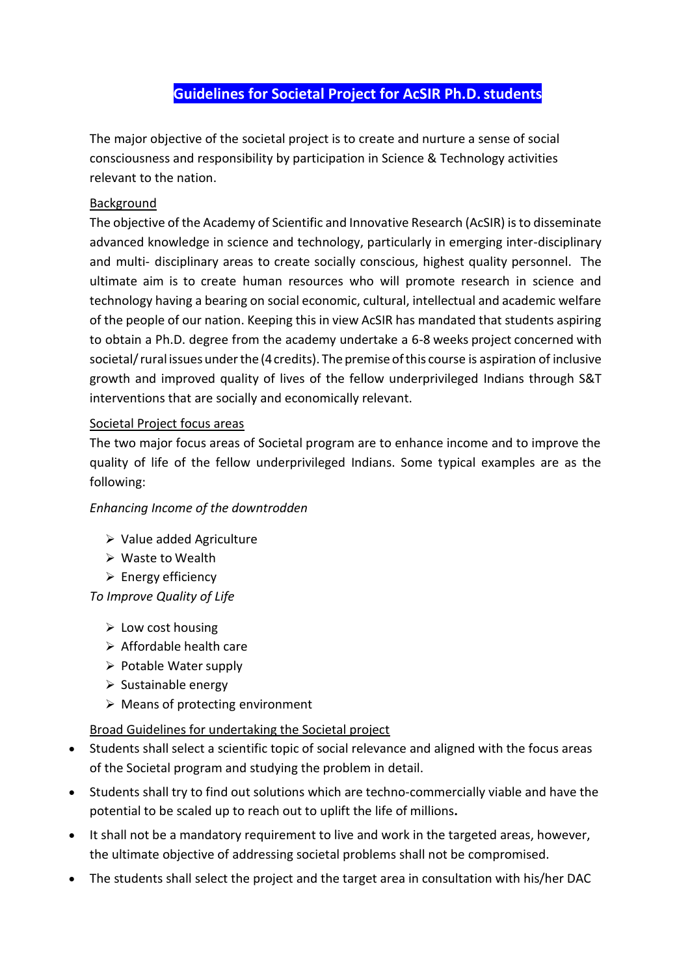## **Guidelines for Societal Project for AcSIR Ph.D.students**

The major objective of the societal project is to create and nurture a sense of social consciousness and responsibility by participation in Science & Technology activities relevant to the nation.

#### Background

The objective of the Academy of Scientific and Innovative Research (AcSIR) is to disseminate advanced knowledge in science and technology, particularly in emerging inter-disciplinary and multi- disciplinary areas to create socially conscious, highest quality personnel. The ultimate aim is to create human resources who will promote research in science and technology having a bearing on social economic, cultural, intellectual and academic welfare of the people of our nation. Keeping this in view AcSIR has mandated that students aspiring to obtain a Ph.D. degree from the academy undertake a 6-8 weeks project concerned with societal/rural issues underthe (4credits). The premise ofthis course is aspiration of inclusive growth and improved quality of lives of the fellow underprivileged Indians through S&T interventions that are socially and economically relevant.

#### Societal Project focus areas

The two major focus areas of Societal program are to enhance income and to improve the quality of life of the fellow underprivileged Indians. Some typical examples are as the following:

#### *Enhancing Income of the downtrodden*

- Value added Agriculture
- Waste to Wealth
- $\triangleright$  Energy efficiency

*To Improve Quality of Life*

- $\triangleright$  Low cost housing
- $\triangleright$  Affordable health care
- $\triangleright$  Potable Water supply
- $\triangleright$  Sustainable energy
- $\triangleright$  Means of protecting environment

#### Broad Guidelines for undertaking the Societal project

- Students shall select a scientific topic of social relevance and aligned with the focus areas of the Societal program and studying the problem in detail.
- Students shall try to find out solutions which are techno-commercially viable and have the potential to be scaled up to reach out to uplift the life of millions**.**
- It shall not be a mandatory requirement to live and work in the targeted areas, however, the ultimate objective of addressing societal problems shall not be compromised.
- The students shall select the project and the target area in consultation with his/her DAC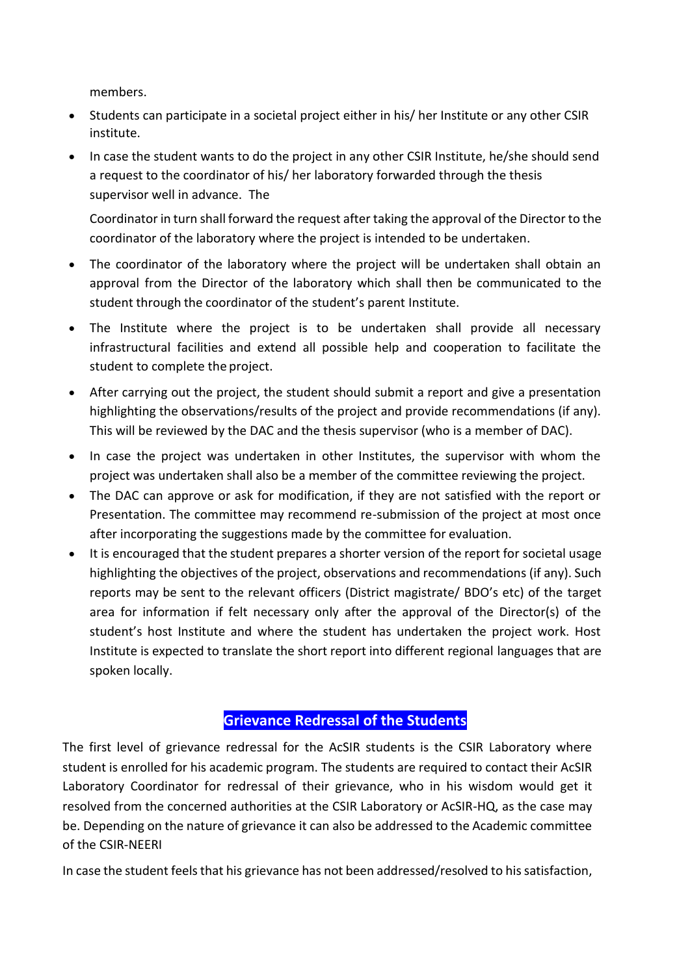members.

- Students can participate in a societal project either in his/ her Institute or any other CSIR institute.
- In case the student wants to do the project in any other CSIR Institute, he/she should send a request to the coordinator of his/ her laboratory forwarded through the thesis supervisor well in advance. The

Coordinator in turn shall forward the request after taking the approval of the Director to the coordinator of the laboratory where the project is intended to be undertaken.

- The coordinator of the laboratory where the project will be undertaken shall obtain an approval from the Director of the laboratory which shall then be communicated to the student through the coordinator of the student's parent Institute.
- The Institute where the project is to be undertaken shall provide all necessary infrastructural facilities and extend all possible help and cooperation to facilitate the student to complete the project.
- After carrying out the project, the student should submit a report and give a presentation highlighting the observations/results of the project and provide recommendations (if any). This will be reviewed by the DAC and the thesis supervisor (who is a member of DAC).
- In case the project was undertaken in other Institutes, the supervisor with whom the project was undertaken shall also be a member of the committee reviewing the project.
- The DAC can approve or ask for modification, if they are not satisfied with the report or Presentation. The committee may recommend re-submission of the project at most once after incorporating the suggestions made by the committee for evaluation.
- It is encouraged that the student prepares a shorter version of the report for societal usage highlighting the objectives of the project, observations and recommendations (if any). Such reports may be sent to the relevant officers (District magistrate/ BDO's etc) of the target area for information if felt necessary only after the approval of the Director(s) of the student's host Institute and where the student has undertaken the project work. Host Institute is expected to translate the short report into different regional languages that are spoken locally.

## **Grievance Redressal of the Students**

The first level of grievance redressal for the AcSIR students is the CSIR Laboratory where student is enrolled for his academic program. The students are required to contact their AcSIR Laboratory Coordinator for redressal of their grievance, who in his wisdom would get it resolved from the concerned authorities at the CSIR Laboratory or AcSIR-HQ, as the case may be. Depending on the nature of grievance it can also be addressed to the Academic committee of the CSIR-NEERI

In case the student feels that his grievance has not been addressed/resolved to his satisfaction,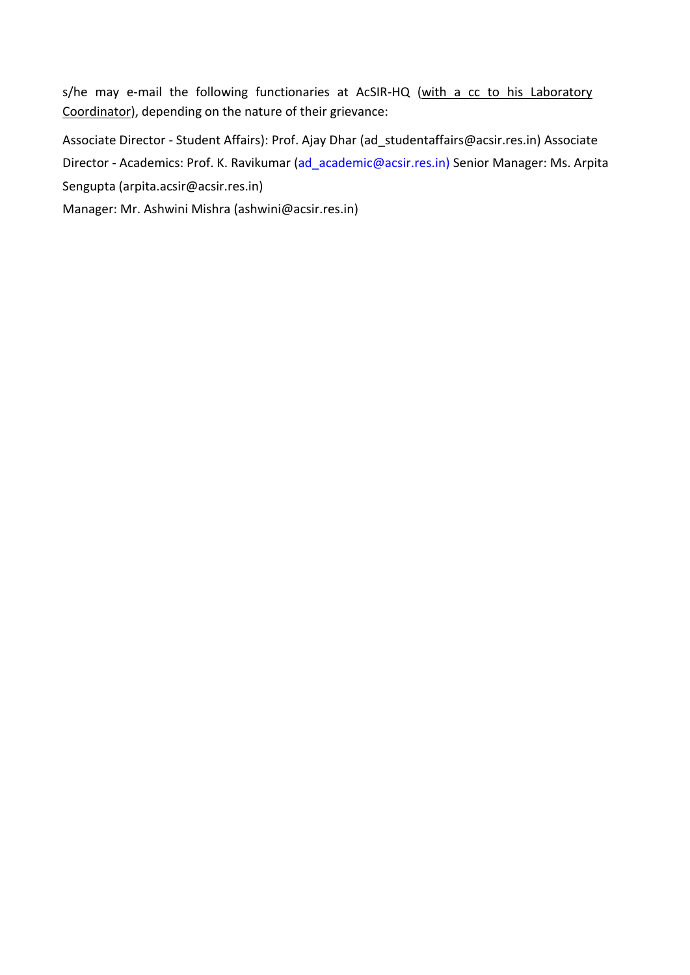s/he may e-mail the following functionaries at AcSIR-HQ (with a cc to his Laboratory Coordinator), depending on the nature of their grievance:

Associate Director - Student Affairs): Prof. Ajay Dhar (ad\_studentaffairs@acsir.res.in) Associate Director - Academics: Prof. K. Ravikumar [\(ad\\_academic@acsir.res.in\)](mailto:ad_academic@acsir.res.in) Senior Manager: Ms. Arpita Sengupta (arpita.acsir@acsir.res.in)

Manager: Mr. Ashwini Mishra (ashwini@acsir.res.in)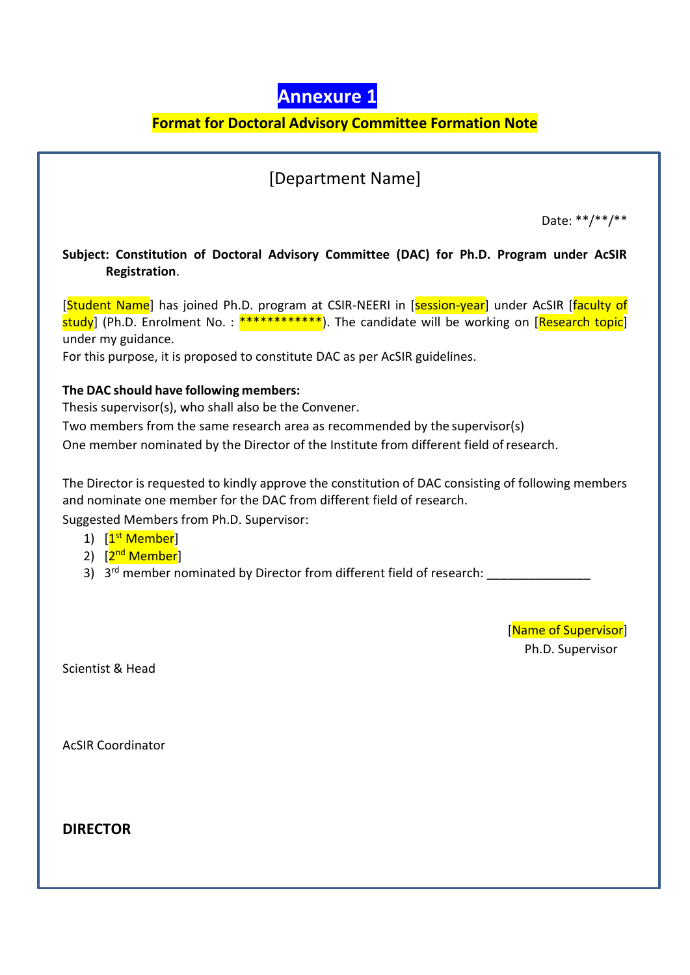

## **Format for Doctoral Advisory Committee Formation Note**

## [Department Name]

Date: \*\*/\*\*/\*\*

#### **Subject: Constitution of Doctoral Advisory Committee (DAC) for Ph.D. Program under AcSIR ………….Registration**.

[Student Name] has joined Ph.D. program at CSIR-NEERI in [session-year] under AcSIR [faculty of  $\frac{\text{study}}{\text{study}}$  (Ph.D. Enrolment No.:  $\frac{********}{*}$ ). The candidate will be working on [Research topic] under my guidance.

For this purpose, it is proposed to constitute DAC as per AcSIR guidelines.

#### **The DAC should have following members:** …………………………… ………

Thesis supervisor(s), who shall also be the Convener.

Two members from the same research area as recommended by the supervisor(s)

One member nominated by the Director of the Institute from different field ofresearch.

The Director is requested to kindly approve the constitution of DAC consisting of following members and nominate one member for the DAC from different field of research. Suggested Members from Ph.D. Supervisor:

- 1) [<mark>1<sup>st</sup> Member</mark>]
- 2) [<mark>2<sup>nd</sup> Member</mark>]
- 3) 3<sup>rd</sup> member nominated by Director from different field of research: \_\_\_\_\_\_\_\_\_\_\_\_\_\_\_

[Name of Supervisor] Ph.D. Supervisor .

Scientist & Head

AcSIR Coordinator

**DIRECTOR**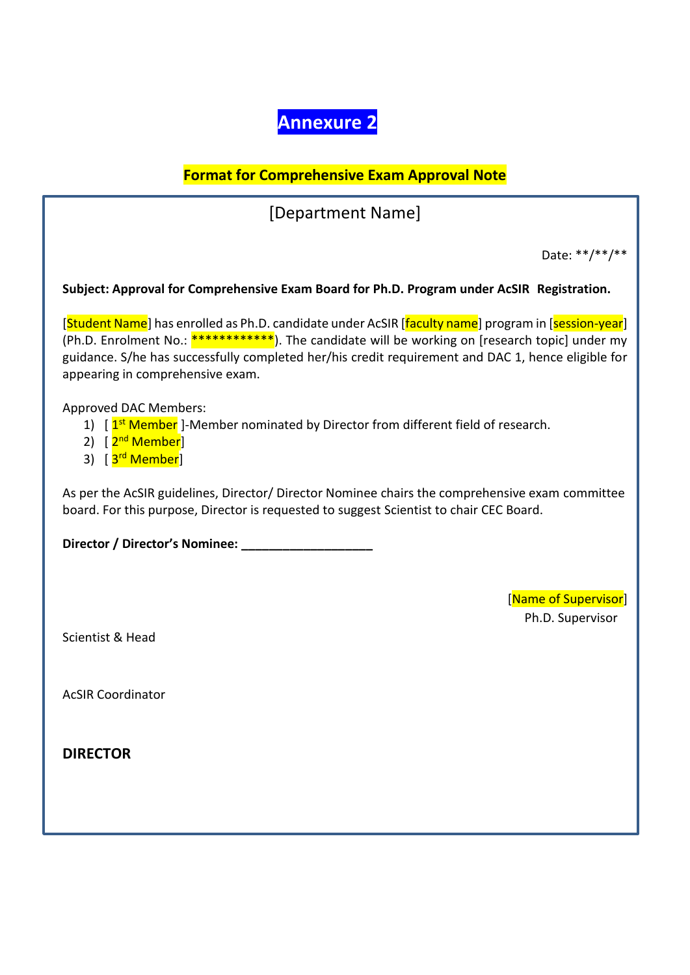# **Annexure 2**

## **Format for Comprehensive Exam Approval Note**

[Department Name]

Date: \*\*/\*\*/\*\*

#### Subject: Approval for Comprehensive Exam Board for Ph.D. Program under AcSIR Registration.

[Student Name] has enrolled as Ph.D. candidate under AcSIR [faculty name] program in [session-year] (Ph.D. Enrolment No.: \*\*\*\*\*\*\*\*\*\*\*\*\*). The candidate will be working on [research topic] under my guidance. S/he has successfully completed her/his credit requirement and DAC 1, hence eligible for appearing in comprehensive exam.

Approved DAC Members:

- 1) [  $1<sup>st</sup>$  Member ]-Member nominated by Director from different field of research.
- 2) [<mark>2<sup>nd</sup> Member</mark>]
- 3) [<mark>3<sup>rd</sup> Member</mark>]

As per the AcSIR guidelines, Director/ Director Nominee chairs the comprehensive exam committee board. For this purpose, Director is requested to suggest Scientist to chair CEC Board.

**Director / Director's Nominee: \_\_\_\_\_\_\_\_\_\_\_\_\_\_\_\_\_\_\_**

[Name of Supervisor]

Ph.D. Supervisor .

Scientist & Head

AcSIR Coordinator

**DIRECTOR**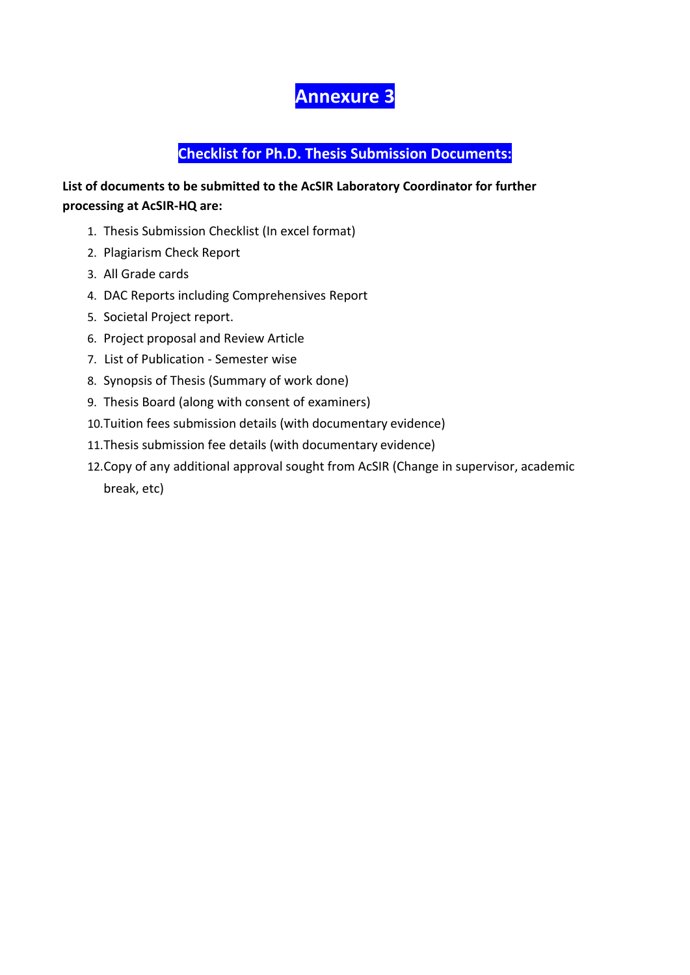# **Annexure 3**

## **Checklist for Ph.D. Thesis Submission Documents:**

### **List of documents to be submitted to the AcSIR Laboratory Coordinator for further processing at AcSIR-HQ are:**

- 1. Thesis Submission Checklist (In excel format)
- 2. Plagiarism Check Report
- 3. All Grade cards
- 4. DAC Reports including Comprehensives Report
- 5. Societal Project report.
- 6. Project proposal and Review Article
- 7. List of Publication Semester wise
- 8. Synopsis of Thesis (Summary of work done)
- 9. Thesis Board (along with consent of examiners)
- 10.Tuition fees submission details (with documentary evidence)
- 11.Thesis submission fee details (with documentary evidence)
- 12.Copy of any additional approval sought from AcSIR (Change in supervisor, academic break, etc)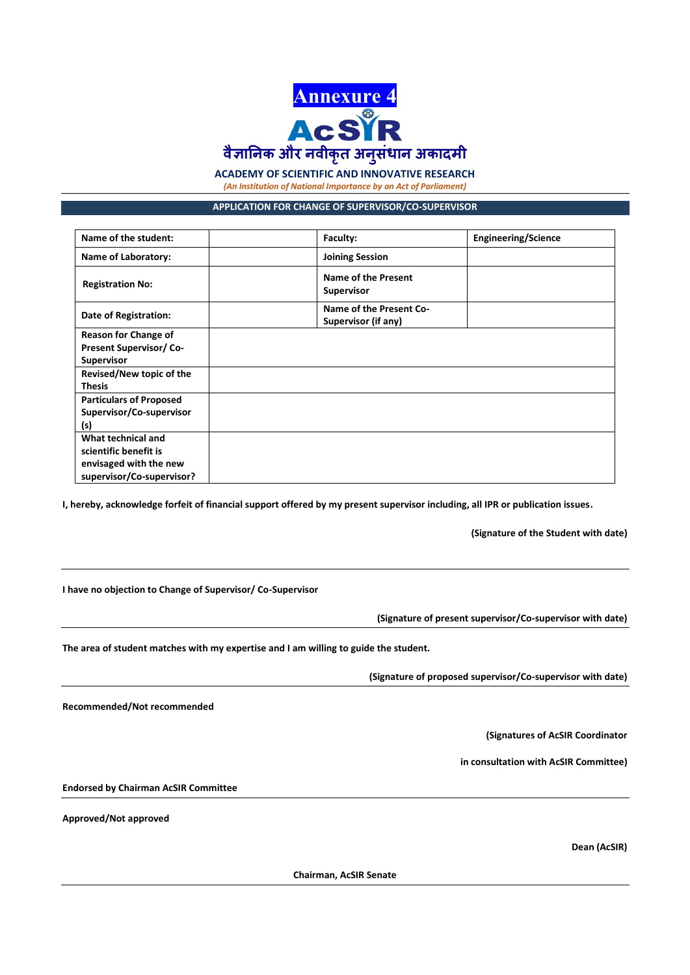

**ACADEMY OF SCIENTIFIC AND INNOVATIVE RESEARCH**

*(An Institution of National Importance by an Act of Parliament)*

#### **APPLICATION FOR CHANGE OF SUPERVISOR/CO-SUPERVISOR**

| Name of the student:           | Faculty:                                       | Engineering/Science |
|--------------------------------|------------------------------------------------|---------------------|
| <b>Name of Laboratory:</b>     | <b>Joining Session</b>                         |                     |
| <b>Registration No:</b>        | Name of the Present<br><b>Supervisor</b>       |                     |
| <b>Date of Registration:</b>   | Name of the Present Co-<br>Supervisor (if any) |                     |
| <b>Reason for Change of</b>    |                                                |                     |
| <b>Present Supervisor/Co-</b>  |                                                |                     |
| <b>Supervisor</b>              |                                                |                     |
| Revised/New topic of the       |                                                |                     |
| <b>Thesis</b>                  |                                                |                     |
| <b>Particulars of Proposed</b> |                                                |                     |
| Supervisor/Co-supervisor       |                                                |                     |
| (s)                            |                                                |                     |
| What technical and             |                                                |                     |
| scientific benefit is          |                                                |                     |
| envisaged with the new         |                                                |                     |
| supervisor/Co-supervisor?      |                                                |                     |

**I, hereby, acknowledge forfeit of financial support offered by my present supervisor including, all IPR or publication issues.**

**(Signature of the Student with date)**

**I have no objection to Change of Supervisor/ Co-Supervisor** 

**(Signature of present supervisor/Co-supervisor with date)**

**The area of student matches with my expertise and I am willing to guide the student.**

**(Signature of proposed supervisor/Co-supervisor with date)**

**Recommended/Not recommended** 

**(Signatures of AcSIR Coordinator** 

**in consultation with AcSIR Committee)**

**Endorsed by Chairman AcSIR Committee**

**Approved/Not approved** 

**Dean (AcSIR)**

**Chairman, AcSIR Senate**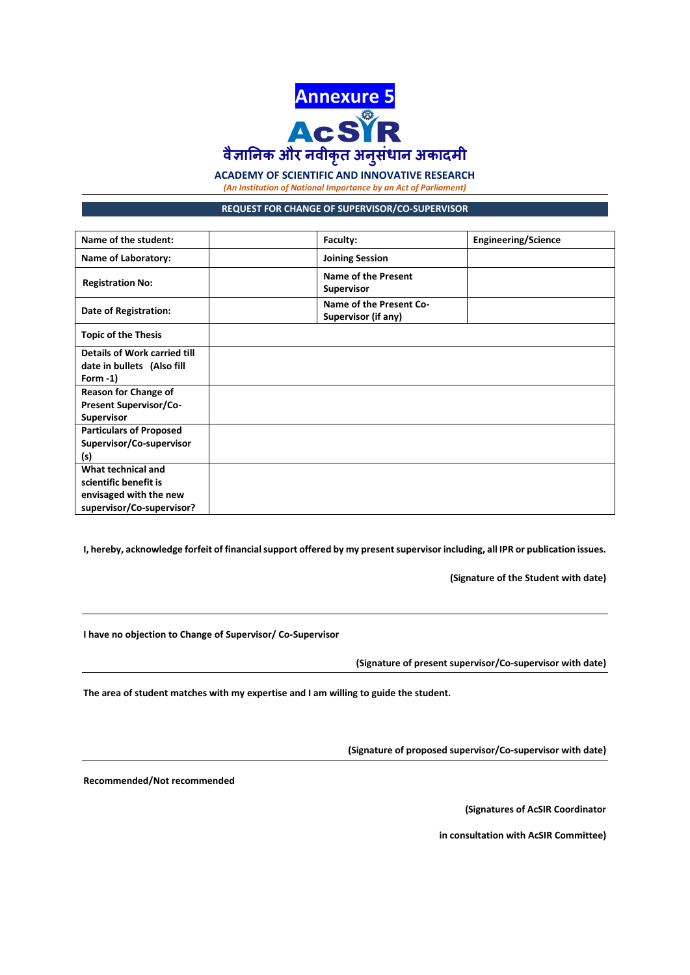

#### **ACADEMY OF SCIENTIFIC AND INNOVATIVE RESEARCH**

*(An Institution of National Importance by an Act of Parliament)*

**REQUEST FOR CHANGE OF SUPERVISOR/CO-SUPERVISOR**

| Name of the student:                                                                               | Faculty:                                        | <b>Engineering/Science</b> |
|----------------------------------------------------------------------------------------------------|-------------------------------------------------|----------------------------|
| <b>Name of Laboratory:</b>                                                                         | <b>Joining Session</b>                          |                            |
| <b>Registration No:</b>                                                                            | <b>Name of the Present</b><br><b>Supervisor</b> |                            |
| Date of Registration:                                                                              | Name of the Present Co-<br>Supervisor (if any)  |                            |
| <b>Topic of the Thesis</b>                                                                         |                                                 |                            |
| Details of Work carried till<br>date in bullets (Also fill<br>Form $-1$ )                          |                                                 |                            |
| <b>Reason for Change of</b><br><b>Present Supervisor/Co-</b><br><b>Supervisor</b>                  |                                                 |                            |
| <b>Particulars of Proposed</b><br>Supervisor/Co-supervisor<br>(s)                                  |                                                 |                            |
| What technical and<br>scientific benefit is<br>envisaged with the new<br>supervisor/Co-supervisor? |                                                 |                            |

**I, hereby, acknowledge forfeit of financial support offered by my present supervisor including, all IPR or publication issues.**

**(Signature of the Student with date)**

**I have no objection to Change of Supervisor/ Co-Supervisor** 

**(Signature of present supervisor/Co-supervisor with date)**

**The area of student matches with my expertise and I am willing to guide the student.**

**(Signature of proposed supervisor/Co-supervisor with date)**

**Recommended/Not recommended** 

**(Signatures of AcSIR Coordinator** 

**in consultation with AcSIR Committee)**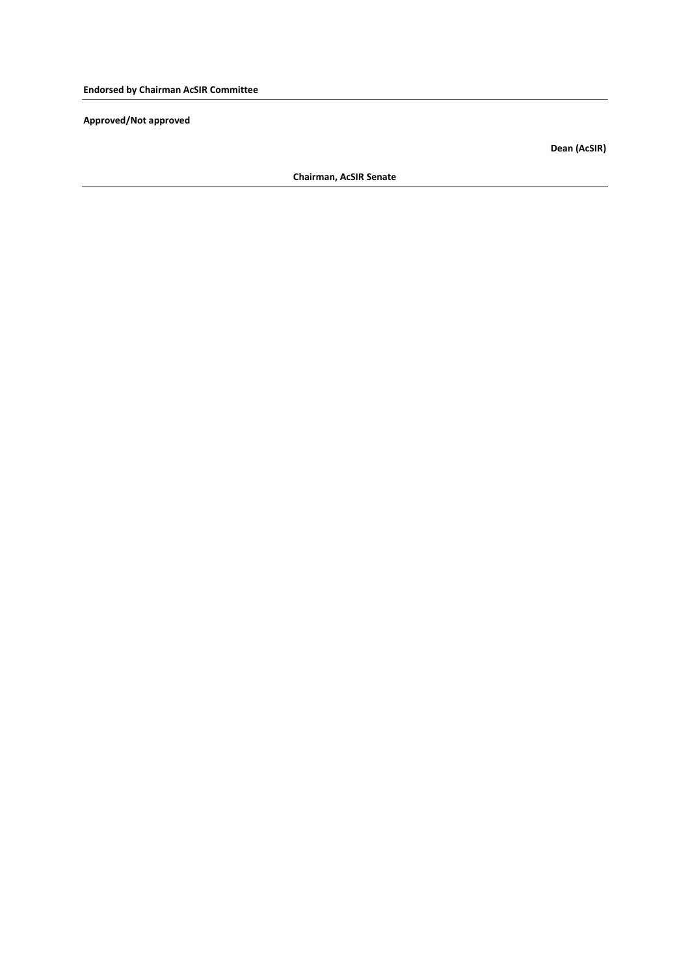**Approved/Not approved** 

**Dean (AcSIR)**

**Chairman, AcSIR Senate**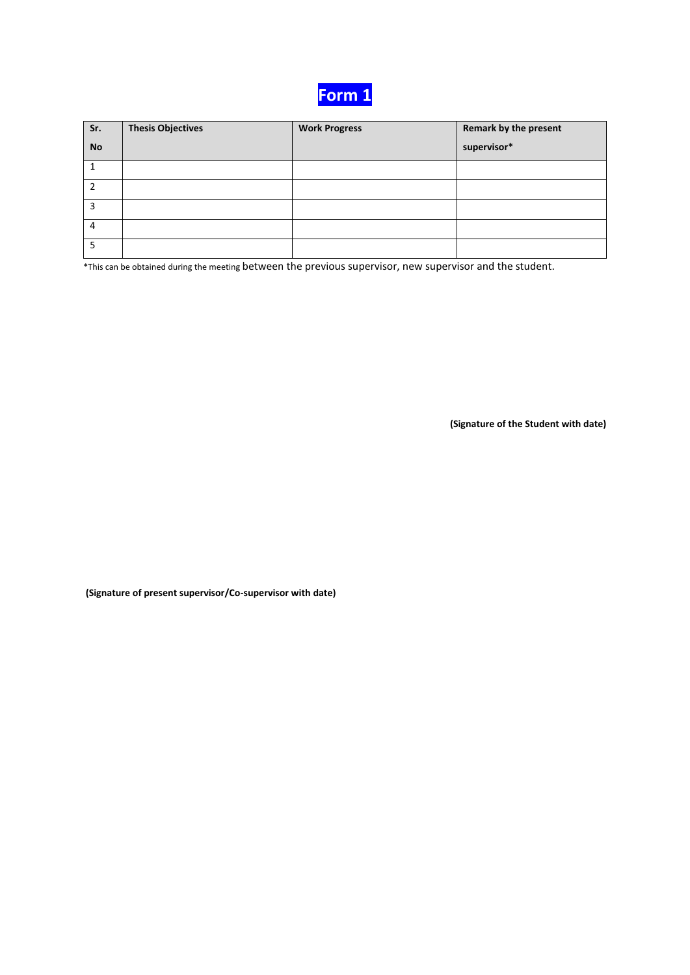

| Sr.       | <b>Thesis Objectives</b> | <b>Work Progress</b> | Remark by the present |
|-----------|--------------------------|----------------------|-----------------------|
| <b>No</b> |                          |                      | supervisor*           |
|           |                          |                      |                       |
|           |                          |                      |                       |
| 3         |                          |                      |                       |
| 4         |                          |                      |                       |
| 5         |                          |                      |                       |

\*This can be obtained during the meeting between the previous supervisor, new supervisor and the student.

**(Signature of the Student with date)**

**(Signature of present supervisor/Co-supervisor with date)**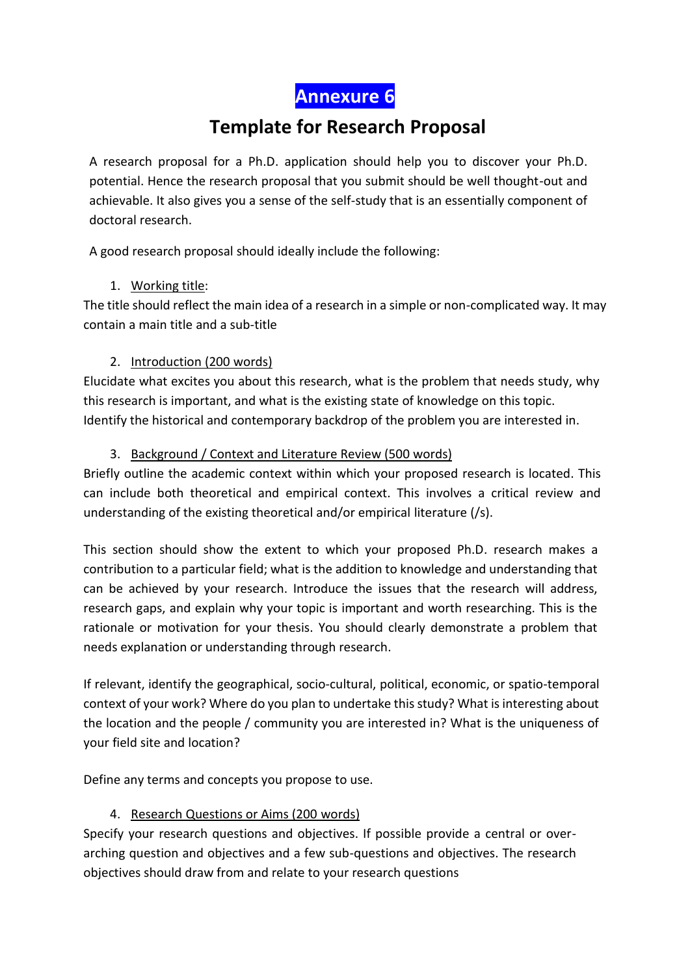**Annexure 6**

# **Template for Research Proposal**

A research proposal for a Ph.D. application should help you to discover your Ph.D. potential. Hence the research proposal that you submit should be well thought-out and achievable. It also gives you a sense of the self-study that is an essentially component of doctoral research.

A good research proposal should ideally include the following:

## 1. Working title:

The title should reflect the main idea of a research in a simple or non-complicated way. It may contain a main title and a sub-title

## 2. Introduction (200 words)

Elucidate what excites you about this research, what is the problem that needs study, why this research is important, and what is the existing state of knowledge on this topic. Identify the historical and contemporary backdrop of the problem you are interested in.

## 3. Background / Context and Literature Review (500 words)

Briefly outline the academic context within which your proposed research is located. This can include both theoretical and empirical context. This involves a critical review and understanding of the existing theoretical and/or empirical literature (/s).

This section should show the extent to which your proposed Ph.D. research makes a contribution to a particular field; what is the addition to knowledge and understanding that can be achieved by your research. Introduce the issues that the research will address, research gaps, and explain why your topic is important and worth researching. This is the rationale or motivation for your thesis. You should clearly demonstrate a problem that needs explanation or understanding through research.

If relevant, identify the geographical, socio-cultural, political, economic, or spatio-temporal context of your work? Where do you plan to undertake this study? What is interesting about the location and the people / community you are interested in? What is the uniqueness of your field site and location?

Define any terms and concepts you propose to use.

## 4. Research Questions or Aims (200 words)

Specify your research questions and objectives. If possible provide a central or overarching question and objectives and a few sub-questions and objectives. The research objectives should draw from and relate to your research questions